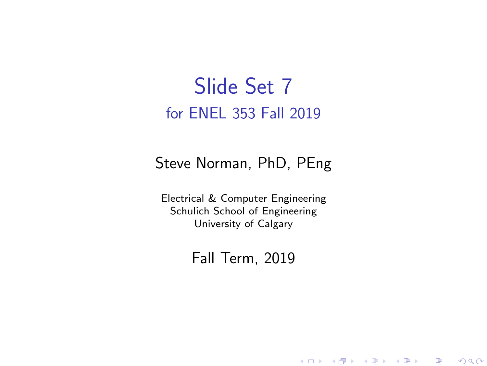#### Slide Set 7 for ENEL 353 Fall 2019

#### Steve Norman, PhD, PEng

Electrical & Computer Engineering Schulich School of Engineering University of Calgary

#### Fall Term, 2019

メロメ メ御メ メミメ メミメン

一番

 $2Q$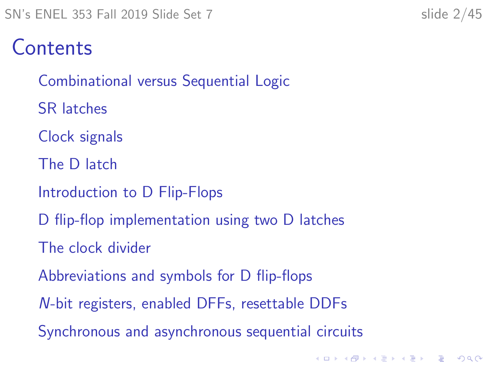#### Contents

[Combinational versus Sequential Logic](#page-2-0)

[SR latches](#page-4-0)

[Clock signals](#page-10-0)

[The D latch](#page-13-0)

[Introduction to D Flip-Flops](#page-19-0)

[D flip-flop implementation using two D latches](#page-24-0)

[The clock divider](#page-27-0)

[Abbreviations and symbols for D flip-flops](#page-32-0)

N[-bit registers, enabled DFFs, resettable DDFs](#page-35-0)

[Synchronous and asynchronous sequential circuits](#page-41-0)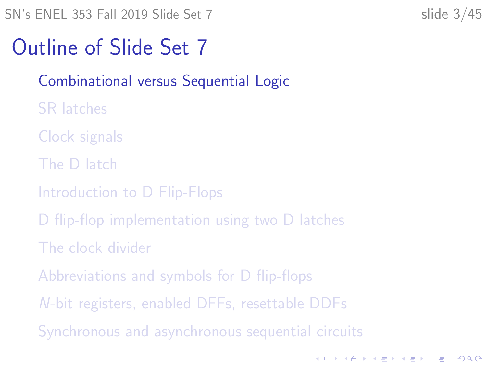K ロ ▶ K 個 ▶ K 할 ▶ K 할 ▶ 이 할 → 9 Q Q →

#### <span id="page-2-0"></span>Outline of Slide Set 7

#### [Combinational versus Sequential Logic](#page-2-0)

- [SR latches](#page-4-0)
- [Clock signals](#page-10-0)
- [The D latch](#page-13-0)
- [Introduction to D Flip-Flops](#page-19-0)
- [D flip-flop implementation using two D latches](#page-24-0)
- [The clock divider](#page-27-0)
- [Abbreviations and symbols for D flip-flops](#page-32-0)
- N[-bit registers, enabled DFFs, resettable DDFs](#page-35-0)
- [Synchronous and asynchronous sequential circuits](#page-41-0)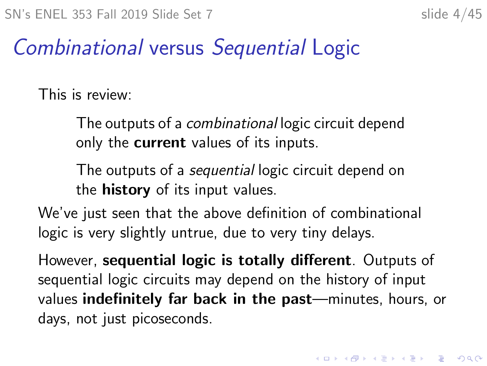#### Combinational versus Sequential Logic

This is review:

The outputs of a combinational logic circuit depend only the **current** values of its inputs.

The outputs of a *sequential* logic circuit depend on the **history** of its input values.

We've just seen that the above definition of combinational logic is very slightly untrue, due to very tiny delays.

However, sequential logic is totally different. Outputs of sequential logic circuits may depend on the history of input values indefinitely far back in the past—minutes, hours, or days, not just picoseconds.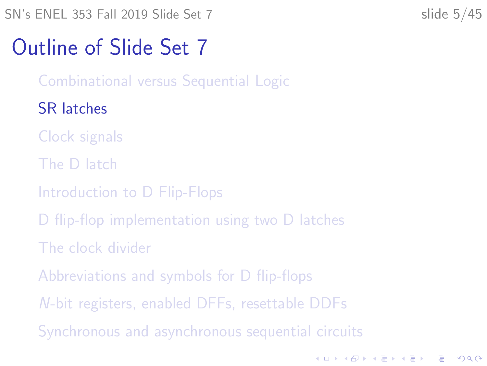**KORKARYKERKER POLO** 

#### <span id="page-4-0"></span>Outline of Slide Set 7

[Combinational versus Sequential Logic](#page-2-0)

#### [SR latches](#page-4-0)

- [Clock signals](#page-10-0)
- [The D latch](#page-13-0)
- [Introduction to D Flip-Flops](#page-19-0)
- [D flip-flop implementation using two D latches](#page-24-0)
- [The clock divider](#page-27-0)
- [Abbreviations and symbols for D flip-flops](#page-32-0)
- N[-bit registers, enabled DFFs, resettable DDFs](#page-35-0)
- [Synchronous and asynchronous sequential circuits](#page-41-0)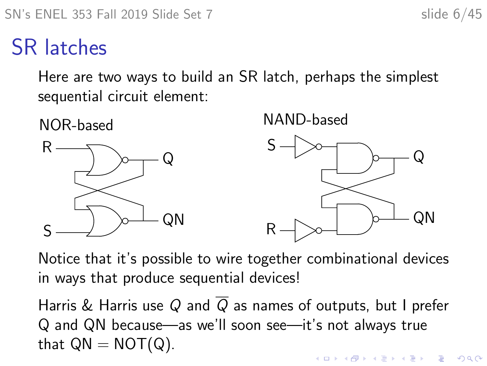#### SR latches

Here are two ways to build an SR latch, perhaps the simplest sequential circuit element:



Notice that it's possible to wire together combinational devices in ways that produce sequential devices!

Harris & Harris use Q and  $\overline{Q}$  as names of outputs, but I prefer Q and QN because—as we'll soon see—it's not always true that  $QN = NOT(Q)$ . **KORKARYKERKER POLO**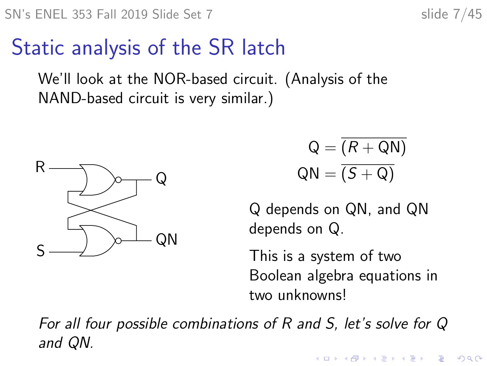$2990$ 

#### Static analysis of the SR latch

We'll look at the NOR-based circuit. (Analysis of the NAND-based circuit is very similar.)



$$
Q = \overline{(R + QN)}
$$

$$
QN = \overline{(S + Q)}
$$

Q depends on QN, and QN depends on Q.

This is a system of two Boolean algebra equations in two unknowns!

 $\mathbf{E} = \mathbf{A} \oplus \mathbf{A} + \mathbf{A} \oplus \mathbf{A} + \mathbf{A} \oplus \mathbf{A} + \mathbf{A} \oplus \mathbf{A}$ 

For all four possible combinations of R and S, let's solve for Q and QN.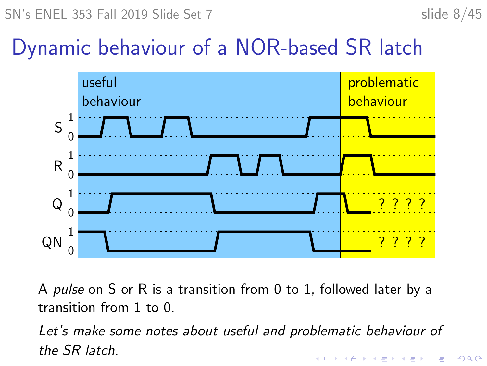#### Dynamic behaviour of a NOR-based SR latch



A pulse on S or R is a transition from 0 to 1, followed later by a transition from 1 to 0.

Let's make some notes about useful and problematic behaviour of the SR latch. $\mathbf{A} \equiv \mathbf{A} + \mathbf{A} + \mathbf{B} + \mathbf{A} + \mathbf{B} + \mathbf{A} + \mathbf{B} + \mathbf{A} + \mathbf{B} + \mathbf{A} + \mathbf{B} + \mathbf{A} + \mathbf{B} + \mathbf{A} + \mathbf{B} + \mathbf{A} + \mathbf{B} + \mathbf{A} + \mathbf{B} + \mathbf{A} + \mathbf{B} + \mathbf{A} + \mathbf{B} + \mathbf{A} + \mathbf{B} + \mathbf{A} + \mathbf{B} + \mathbf{A} + \mathbf{B} + \mathbf{A} + \math$ 

 $2990$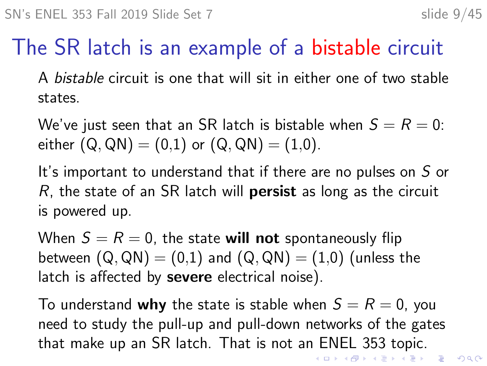## The SR latch is an example of a bistable circuit

A bistable circuit is one that will sit in either one of two stable states.

We've just seen that an SR latch is bistable when  $S = R = 0$ : either  $(Q, QN) = (0,1)$  or  $(Q, QN) = (1,0)$ .

It's important to understand that if there are no pulses on S or  $R$ , the state of an SR latch will **persist** as long as the circuit is powered up.

When  $S = R = 0$ , the state will not spontaneously flip between  $(Q, QN) = (0,1)$  and  $(Q, QN) = (1,0)$  (unless the latch is affected by **severe** electrical noise).

To understand why the state is stable when  $S = R = 0$ , you need to study the pull-up and pull-down networks of the gates that make up an SR latch. That is not an ENEL 353 topic.<br>References an example and the series and the series of the series of the series of the series of the series of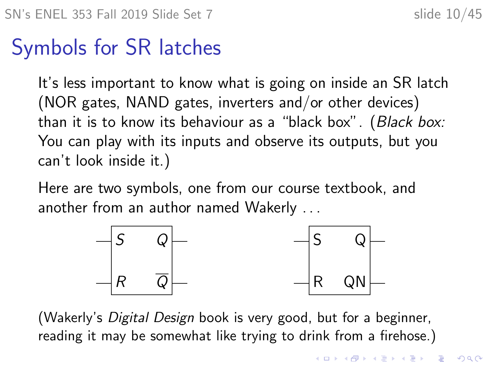#### Symbols for SR latches

It's less important to know what is going on inside an SR latch (NOR gates, NAND gates, inverters and/or other devices) than it is to know its behaviour as a "black box". (Black box: You can play with its inputs and observe its outputs, but you can't look inside it.)

Here are two symbols, one from our course textbook, and another from an author named Wakerly . . .



(Wakerly's Digital Design book is very good, but for a beginner, reading it may be somewhat like trying to drink from a firehose.)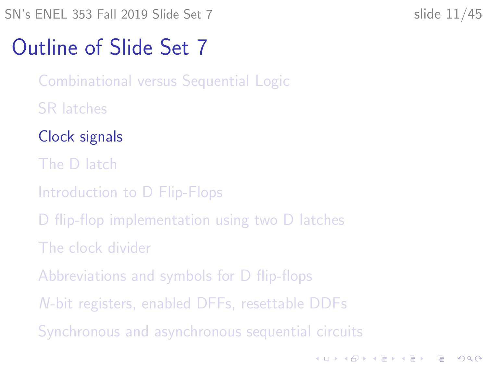**KORKARYKERKER POLO** 

#### <span id="page-10-0"></span>Outline of Slide Set 7

[Combinational versus Sequential Logic](#page-2-0)

- [SR latches](#page-4-0)
- [Clock signals](#page-10-0)
- [The D latch](#page-13-0)
- [Introduction to D Flip-Flops](#page-19-0)
- [D flip-flop implementation using two D latches](#page-24-0)
- [The clock divider](#page-27-0)
- [Abbreviations and symbols for D flip-flops](#page-32-0)
- N[-bit registers, enabled DFFs, resettable DDFs](#page-35-0)
- [Synchronous and asynchronous sequential circuits](#page-41-0)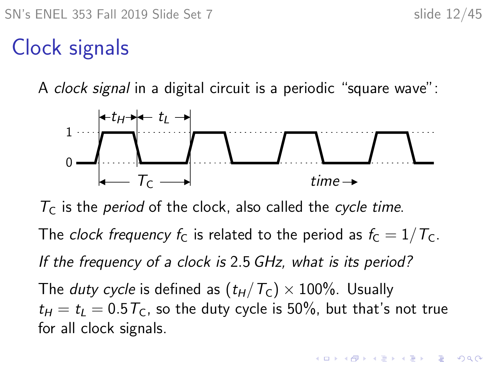### Clock signals

A clock signal in a digital circuit is a periodic "square wave":



 $T<sub>C</sub>$  is the *period* of the clock, also called the *cycle time*.

The clock frequency  $f_C$  is related to the period as  $f_C = 1/T_C$ .

If the frequency of a clock is 2.5 GHz, what is its period?

The *duty cycle* is defined as  $(t_H/T_C) \times 100\%$ . Usually  $t_H = t_L = 0.5 T_C$ , so the duty cycle is 50%, but that's not true for all clock signals.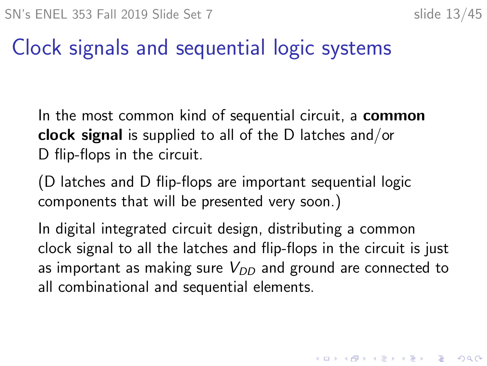4 0 > 4 4 + 4 = + 4 = + = + + 0 4 0 +

### Clock signals and sequential logic systems

In the most common kind of sequential circuit, a **common** clock signal is supplied to all of the D latches and/or D flip-flops in the circuit.

(D latches and D flip-flops are important sequential logic components that will be presented very soon.)

In digital integrated circuit design, distributing a common clock signal to all the latches and flip-flops in the circuit is just as important as making sure  $V_{DD}$  and ground are connected to all combinational and sequential elements.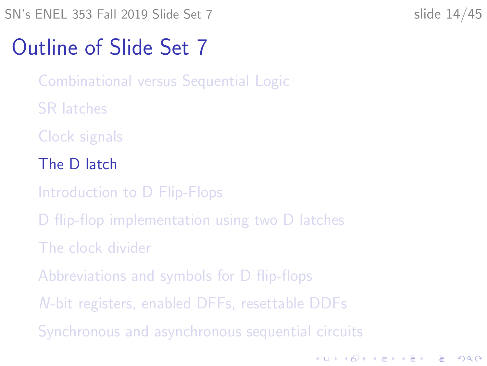#### <span id="page-13-0"></span>Outline of Slide Set 7

[Combinational versus Sequential Logic](#page-2-0)

[SR latches](#page-4-0)

[Clock signals](#page-10-0)

[The D latch](#page-13-0)

[Introduction to D Flip-Flops](#page-19-0)

[D flip-flop implementation using two D latches](#page-24-0)

[The clock divider](#page-27-0)

[Abbreviations and symbols for D flip-flops](#page-32-0)

N[-bit registers, enabled DFFs, resettable DDFs](#page-35-0)

[Synchronous and asynchronous sequential circuits](#page-41-0)

K ロ ▶ K 個 ▶ K 할 ▶ K 할 ▶ 이 할 → 9 Q Q →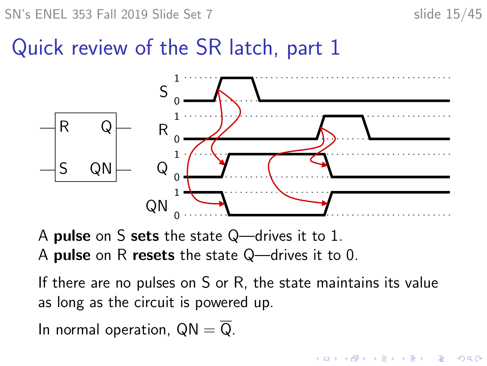SN's ENEL 353 Fall 2019 Slide Set 7 slide 15/45

 $\mathbf{A} \equiv \mathbf{A} + \mathbf{A} + \mathbf{B} + \mathbf{A} + \mathbf{B} + \mathbf{A} + \mathbf{B} + \mathbf{A} + \mathbf{B} + \mathbf{A} + \mathbf{B} + \mathbf{A} + \mathbf{B} + \mathbf{A} + \mathbf{B} + \mathbf{A} + \mathbf{B} + \mathbf{A} + \mathbf{B} + \mathbf{A} + \mathbf{B} + \mathbf{A} + \mathbf{B} + \mathbf{A} + \mathbf{B} + \mathbf{A} + \mathbf{B} + \mathbf{A} + \mathbf{B} + \mathbf{A} + \math$ 

 $2990$ 

#### Quick review of the SR latch, part 1



A pulse on S sets the state Q—drives it to 1.

A pulse on R resets the state Q—drives it to 0.

If there are no pulses on S or R, the state maintains its value as long as the circuit is powered up.

In normal operation,  $QN = \overline{Q}$ .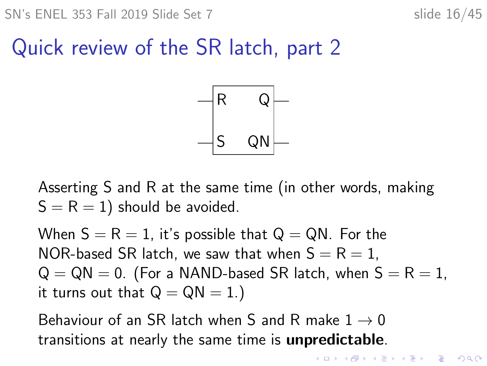#### Quick review of the SR latch, part 2



Asserting S and R at the same time (in other words, making  $S = R = 1$ ) should be avoided.

When  $S = R = 1$ , it's possible that  $Q = QN$ . For the NOR-based SR latch, we saw that when  $S = R = 1$ ,  $Q = QN = 0$ . (For a NAND-based SR latch, when  $S = R = 1$ , it turns out that  $Q = QN = 1.$ )

Behaviour of an SR latch when S and R make  $1 \rightarrow 0$ transitions at nearly the same time is unpredictable.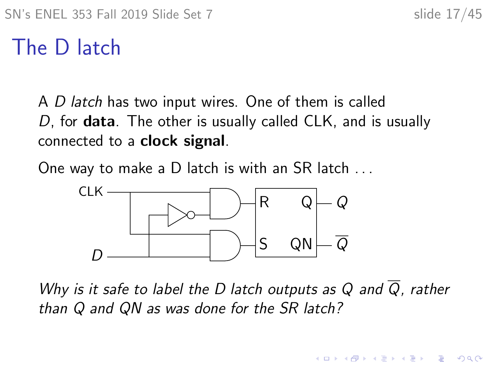$\mathbf{E} = \mathbf{A} \oplus \mathbf{B} + \mathbf{A} \oplus \mathbf{B} + \mathbf{A} \oplus \mathbf{B} + \mathbf{A} \oplus \mathbf{A}$ 

 $2990$ 

#### The D latch

A D latch has two input wires. One of them is called D, for **data**. The other is usually called CLK, and is usually connected to a clock signal.

One way to make a D latch is with an SR latch . . .



Why is it safe to label the D latch outputs as Q and  $\overline{Q}$ , rather than Q and QN as was done for the SR latch?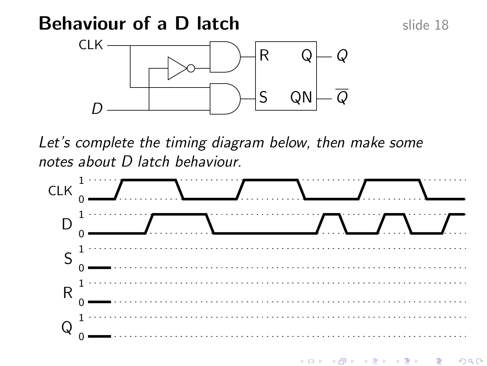#### **Behaviour of a D latch slide 18** slide 18

 $\Omega$ 



Let's complete the timing diagram below, then make some notes about D latch behaviour.



4 ロ トーィ 何 トーィ ヨ トーィ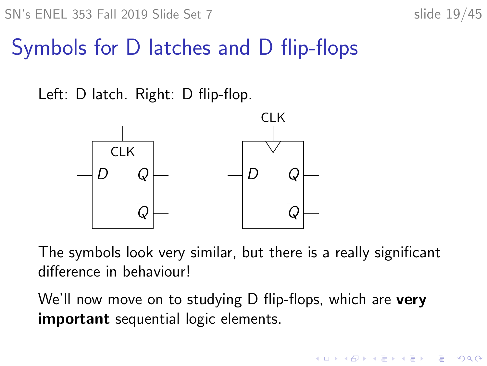$\mathbf{E} = \mathbf{A} \oplus \mathbf{B} + \mathbf{A} \oplus \mathbf{B} + \mathbf{A} \oplus \mathbf{B} + \mathbf{A} \oplus \mathbf{A}$ 

 $2990$ 

### Symbols for D latches and D flip-flops

Left: D latch. Right: D flip-flop.



The symbols look very similar, but there is a really significant difference in behaviour!

We'll now move on to studying D flip-flops, which are very important sequential logic elements.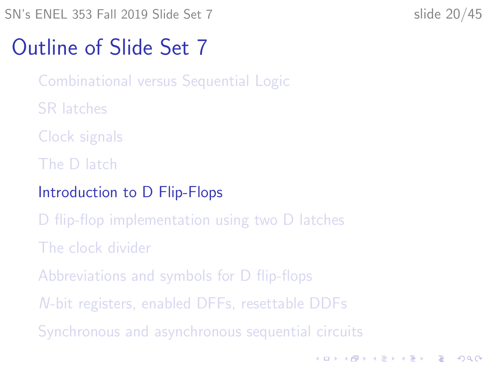<span id="page-19-0"></span>SN's ENEL 353 Fall 2019 Slide Set 7 slide 20/45

K ロ ▶ K 個 ▶ K 할 ▶ K 할 ▶ 이 할 → 9 Q Q →

#### Outline of Slide Set 7

[Combinational versus Sequential Logic](#page-2-0)

- [SR latches](#page-4-0)
- [Clock signals](#page-10-0)
- [The D latch](#page-13-0)
- [Introduction to D Flip-Flops](#page-19-0)
- [D flip-flop implementation using two D latches](#page-24-0)
- [The clock divider](#page-27-0)
- [Abbreviations and symbols for D flip-flops](#page-32-0)
- N[-bit registers, enabled DFFs, resettable DDFs](#page-35-0)
- [Synchronous and asynchronous sequential circuits](#page-41-0)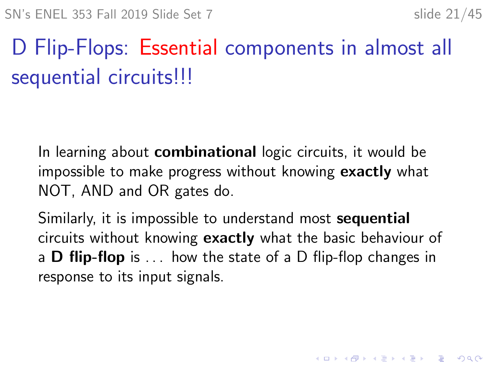KID KA KERKER KID KO

# D Flip-Flops: Essential components in almost all sequential circuits!!!

In learning about **combinational** logic circuits, it would be impossible to make progress without knowing exactly what NOT, AND and OR gates do.

Similarly, it is impossible to understand most **sequential** circuits without knowing exactly what the basic behaviour of a **D** flip-flop is  $\ldots$  how the state of a D flip-flop changes in response to its input signals.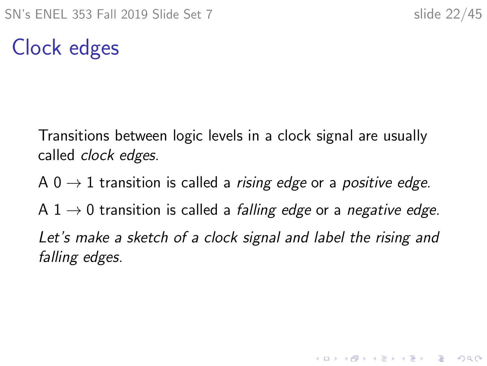**KORKARYKERKER POLO** 

### Clock edges

Transitions between logic levels in a clock signal are usually called *clock edges*.

A 0  $\rightarrow$  1 transition is called a *rising edge* or a *positive edge*.

A 1  $\rightarrow$  0 transition is called a *falling edge* or a *negative edge*. Let's make a sketch of a clock signal and label the rising and falling edges.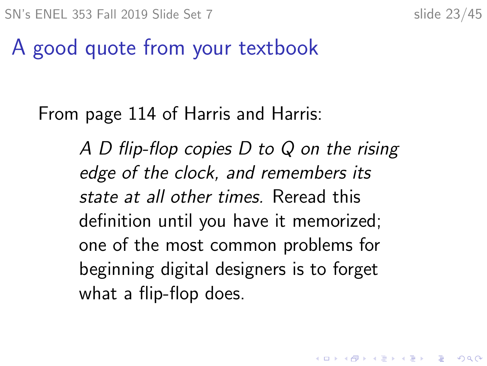**KORKARYKERKER POLO** 

#### A good quote from your textbook

#### From page 114 of Harris and Harris:

A D flip-flop copies D to Q on the rising edge of the clock, and remembers its state at all other times. Reread this definition until you have it memorized; one of the most common problems for beginning digital designers is to forget what a flip-flop does.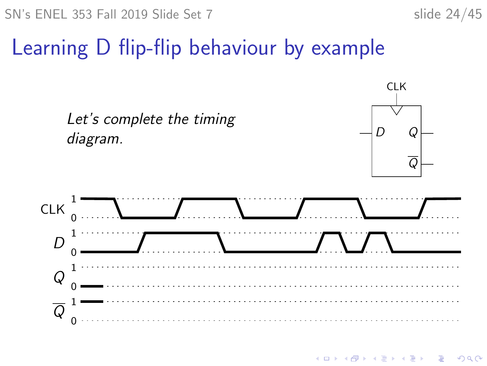

### Learning D flip-flip behaviour by example



**KOD KAR KED KED E YOUN**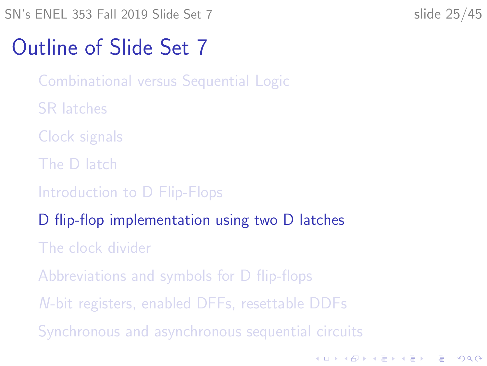K ロ ▶ K 個 ▶ K 할 ▶ K 할 ▶ 이 할 → 9 Q Q →

#### <span id="page-24-0"></span>Outline of Slide Set 7

[Combinational versus Sequential Logic](#page-2-0)

- [SR latches](#page-4-0)
- [Clock signals](#page-10-0)
- [The D latch](#page-13-0)
- [Introduction to D Flip-Flops](#page-19-0)
- [D flip-flop implementation using two D latches](#page-24-0)
- [The clock divider](#page-27-0)
- [Abbreviations and symbols for D flip-flops](#page-32-0)
- N[-bit registers, enabled DFFs, resettable DDFs](#page-35-0)
- [Synchronous and asynchronous sequential circuits](#page-41-0)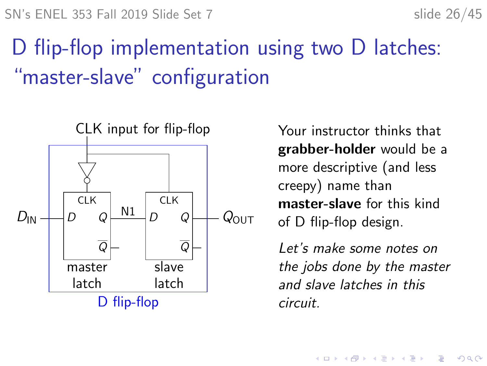# D flip-flop implementation using two D latches: "master-slave" configuration



Your instructor thinks that grabber-holder would be a more descriptive (and less creepy) name than master-slave for this kind of D flip-flop design.

Let's make some notes on the jobs done by the master and slave latches in this circuit.

**KORKARYKERKER POLO**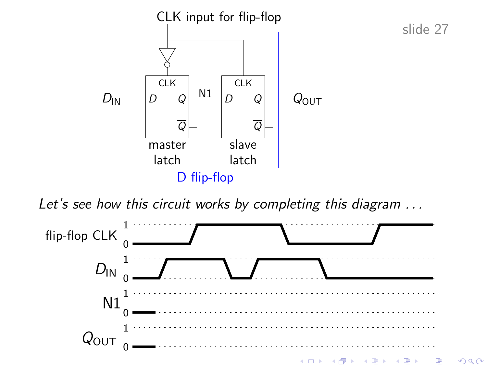

slide 27

Let's see how this circuit works by completing this diagram ...

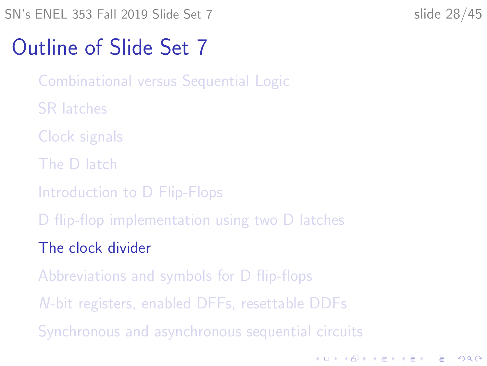**KORKARYKERKER POLO** 

#### <span id="page-27-0"></span>Outline of Slide Set 7

[Combinational versus Sequential Logic](#page-2-0)

- [SR latches](#page-4-0)
- [Clock signals](#page-10-0)
- [The D latch](#page-13-0)
- [Introduction to D Flip-Flops](#page-19-0)
- [D flip-flop implementation using two D latches](#page-24-0)
- [The clock divider](#page-27-0)
- [Abbreviations and symbols for D flip-flops](#page-32-0)
- N[-bit registers, enabled DFFs, resettable DDFs](#page-35-0)
- [Synchronous and asynchronous sequential circuits](#page-41-0)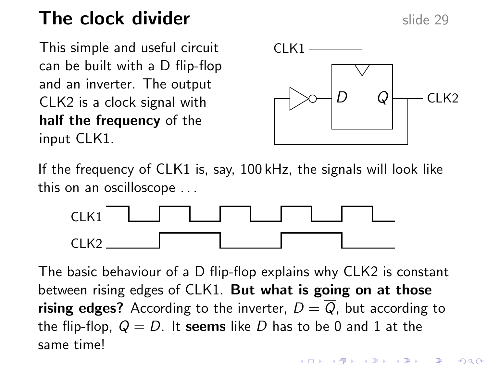#### The clock divider  $\frac{1}{2}$  slide 29

This simple and useful circuit can be built with a D flip-flop and an inverter. The output CLK2 is a clock signal with half the frequency of the input CLK1.



If the frequency of CLK1 is, say, 100 kHz, the signals will look like this on an oscilloscope . . .



The basic behaviour of a D flip-flop explains why CLK2 is constant between rising edges of CLK1. But what is going on at those **rising edges?** According to the inverter,  $D = \overline{Q}$ , but according to the flip-flop,  $Q = D$ . It seems like D has to be 0 and 1 at the same time!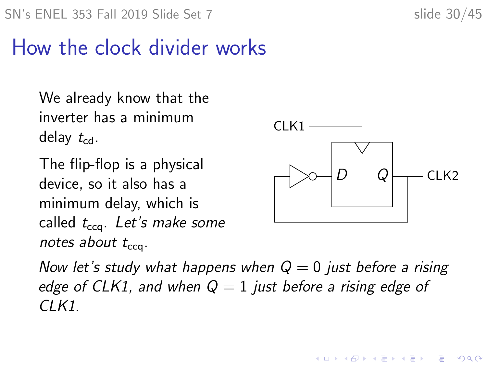### How the clock divider works

We already know that the inverter has a minimum delay  $t_{\text{cd}}$ .

The flip-flop is a physical device, so it also has a minimum delay, which is called  $t_{\text{cca}}$ . Let's make some notes about  $t_{cc}$ .



 $(1, 1)$   $(1, 1)$   $(1, 1)$   $(1, 1)$   $(1, 1)$   $(1, 1)$   $(1, 1)$   $(1, 1)$ 

 $\equiv$ 

 $2Q$ 

Now let's study what happens when  $Q = 0$  just before a rising edge of CLK1, and when  $Q = 1$  just before a rising edge of  $CI K1$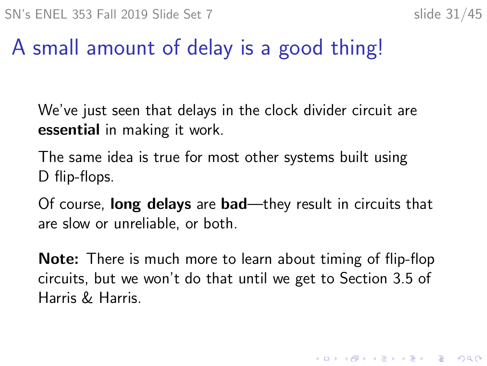## A small amount of delay is a good thing!

We've just seen that delays in the clock divider circuit are essential in making it work.

The same idea is true for most other systems built using D flip-flops.

Of course, long delays are bad—they result in circuits that are slow or unreliable, or both.

Note: There is much more to learn about timing of flip-flop circuits, but we won't do that until we get to Section 3.5 of Harris & Harris.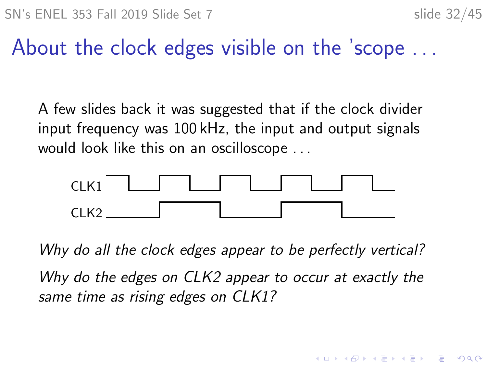**KORK EXTERNE PROVIDE** 

#### About the clock edges visible on the 'scope . . .

A few slides back it was suggested that if the clock divider input frequency was 100 kHz, the input and output signals would look like this on an oscilloscope . . .



Why do all the clock edges appear to be perfectly vertical? Why do the edges on CLK2 appear to occur at exactly the same time as rising edges on CLK1?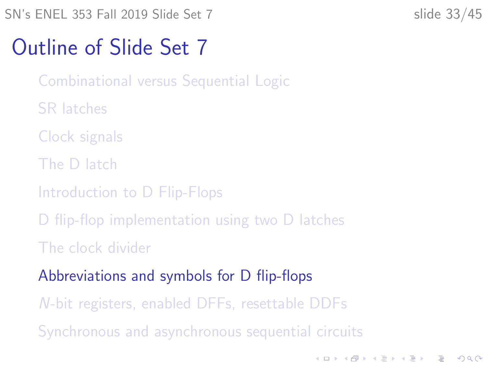**KORKARYKERKER POLO** 

#### <span id="page-32-0"></span>Outline of Slide Set 7

[Combinational versus Sequential Logic](#page-2-0)

- [SR latches](#page-4-0)
- [Clock signals](#page-10-0)
- [The D latch](#page-13-0)
- [Introduction to D Flip-Flops](#page-19-0)
- [D flip-flop implementation using two D latches](#page-24-0)
- [The clock divider](#page-27-0)
- [Abbreviations and symbols for D flip-flops](#page-32-0)
- N[-bit registers, enabled DFFs, resettable DDFs](#page-35-0)
- [Synchronous and asynchronous sequential circuits](#page-41-0)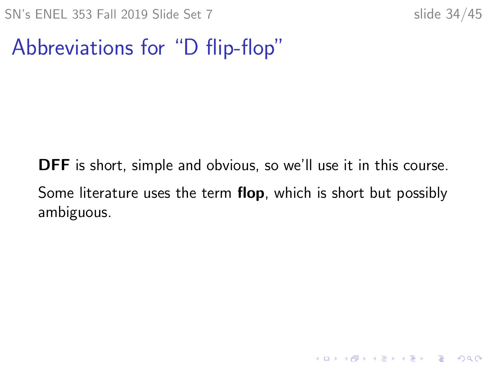K ロ ▶ K 個 ▶ K 할 ▶ K 할 ▶ 이 할 → 9 Q Q →

#### Abbreviations for "D flip-flop"

DFF is short, simple and obvious, so we'll use it in this course. Some literature uses the term flop, which is short but possibly ambiguous.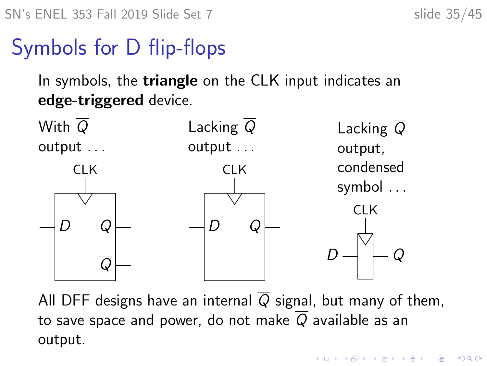## Symbols for D flip-flops

In symbols, the **triangle** on the CLK input indicates an edge-triggered device.



All DFF designs have an internal  $\overline{Q}$  signal, but many of them, to save space and power, do not make  $\overline{Q}$  available as an output.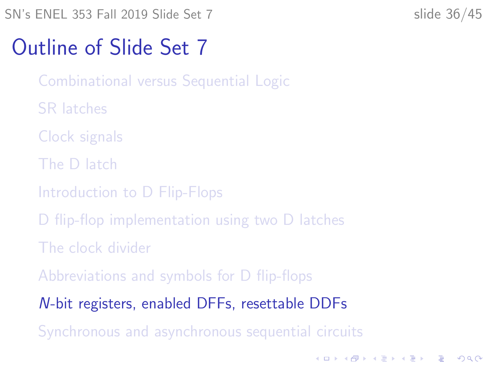K ロ ▶ K 個 ▶ K 할 ▶ K 할 ▶ 이 할 → 9 Q Q →

#### <span id="page-35-0"></span>Outline of Slide Set 7

[Combinational versus Sequential Logic](#page-2-0)

- [SR latches](#page-4-0)
- [Clock signals](#page-10-0)
- [The D latch](#page-13-0)
- [Introduction to D Flip-Flops](#page-19-0)
- [D flip-flop implementation using two D latches](#page-24-0)
- [The clock divider](#page-27-0)
- [Abbreviations and symbols for D flip-flops](#page-32-0)

N[-bit registers, enabled DFFs, resettable DDFs](#page-35-0)

[Synchronous and asynchronous sequential circuits](#page-41-0)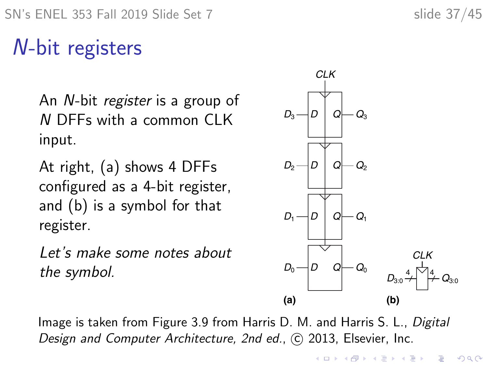## N-bit registers

An N-bit register is a group of N DFFs with a common CLK input.

At right, (a) shows 4 DFFs configured as a 4-bit register, and (b) is a symbol for that register.

Let's make some notes about the symbol.



Image is taken from Figure 3.9 from Harris D. M. and Harris S. L., Digital Design and Computer Architecture, 2nd ed., (c) 2013, Elsevier, Inc.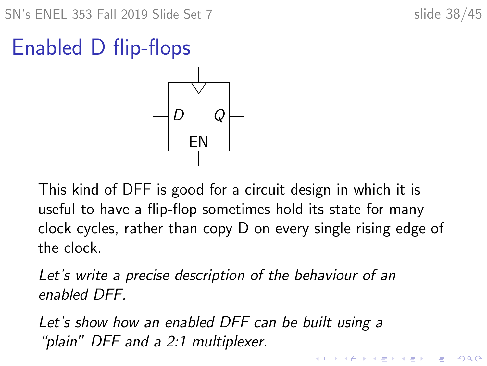**KORKARYKERKER POLO** 

## Enabled D flip-flops



This kind of DFF is good for a circuit design in which it is useful to have a flip-flop sometimes hold its state for many clock cycles, rather than copy D on every single rising edge of the clock.

Let's write a precise description of the behaviour of an enabled DFF.

Let's show how an enabled DFF can be built using a "plain" DFF and a 2:1 multiplexer.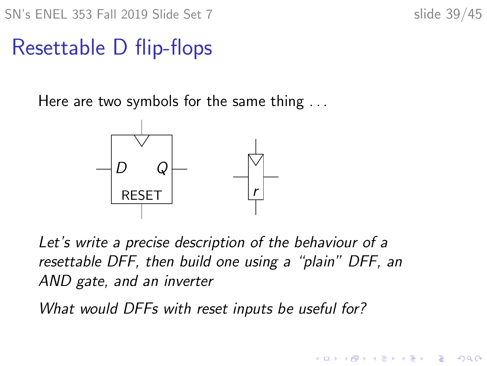SN's ENEL 353 Fall 2019 Slide Set 7 slide 39/45

 $\overline{z}$  (  $\overline{z}$  )  $\overline{z}$  )  $\overline{z}$  )  $\overline{z}$  )  $\overline{z}$ 

 $2990$ 

#### Resettable D flip-flops

Here are two symbols for the same thing ...



Let's write a precise description of the behaviour of a resettable DFF, then build one using a "plain" DFF, an AND gate, and an inverter

What would DFFs with reset inputs be useful for?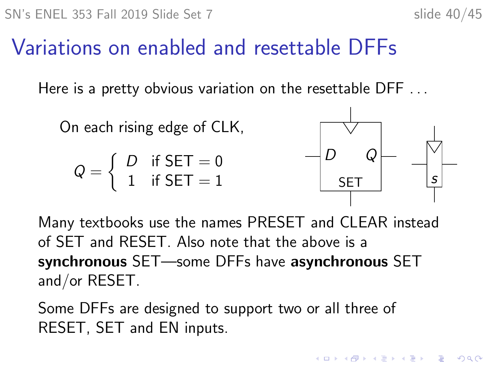$$
slide 40/45
$$

### Variations on enabled and resettable DFFs

Here is a pretty obvious variation on the resettable DFF ...

On each rising edge of CLK,

$$
Q = \left\{ \begin{array}{ll} D & \text{if SET} = 0 \\ 1 & \text{if SET} = 1 \end{array} \right.
$$



Many textbooks use the names PRESET and CLEAR instead of SET and RESET. Also note that the above is a synchronous SET—some DFFs have asynchronous SET and/or RESET.

Some DFFs are designed to support two or all three of RESET, SET and EN inputs.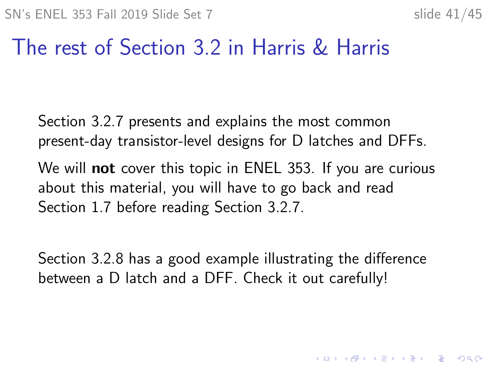4 0 > 4 4 + 4 = + 4 = + = + + 0 4 0 +

#### The rest of Section 3.2 in Harris & Harris

Section 3.2.7 presents and explains the most common present-day transistor-level designs for D latches and DFFs.

We will **not** cover this topic in ENEL 353. If you are curious about this material, you will have to go back and read Section 1.7 before reading Section 3.2.7.

Section 3.2.8 has a good example illustrating the difference between a D latch and a DFF. Check it out carefully!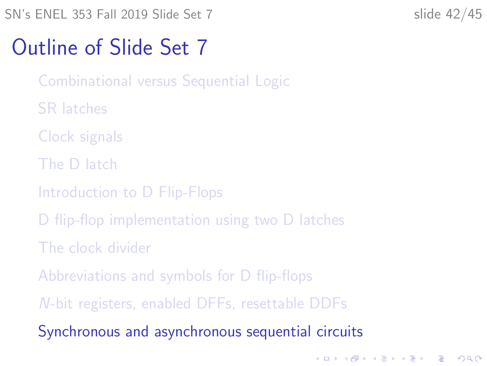#### <span id="page-41-0"></span>Outline of Slide Set 7

- [Combinational versus Sequential Logic](#page-2-0)
- [SR latches](#page-4-0)
- [Clock signals](#page-10-0)
- [The D latch](#page-13-0)
- [Introduction to D Flip-Flops](#page-19-0)
- [D flip-flop implementation using two D latches](#page-24-0)
- [The clock divider](#page-27-0)
- [Abbreviations and symbols for D flip-flops](#page-32-0)
- N[-bit registers, enabled DFFs, resettable DDFs](#page-35-0)
- [Synchronous and asynchronous sequential circuits](#page-41-0)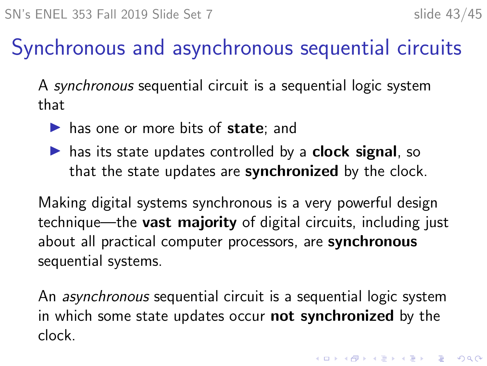## Synchronous and asynchronous sequential circuits

A synchronous sequential circuit is a sequential logic system that

- $\blacktriangleright$  has one or more bits of state; and
- $\triangleright$  has its state updates controlled by a **clock signal**, so that the state updates are synchronized by the clock.

Making digital systems synchronous is a very powerful design technique—the **vast majority** of digital circuits, including just about all practical computer processors, are synchronous sequential systems.

An asynchronous sequential circuit is a sequential logic system in which some state updates occur not synchronized by the clock.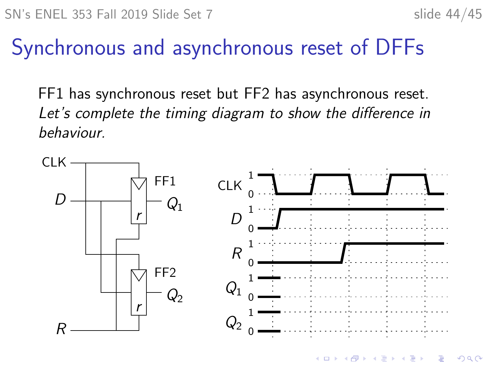#### Synchronous and asynchronous reset of DFFs

FF1 has synchronous reset but FF2 has asynchronous reset. Let's complete the timing diagram to show the difference in behaviour.



 $\left\{ \begin{array}{ccc} 1 & 0 & 0 \\ 0 & 1 & 0 \end{array} \right.$ Ğ,  $299$